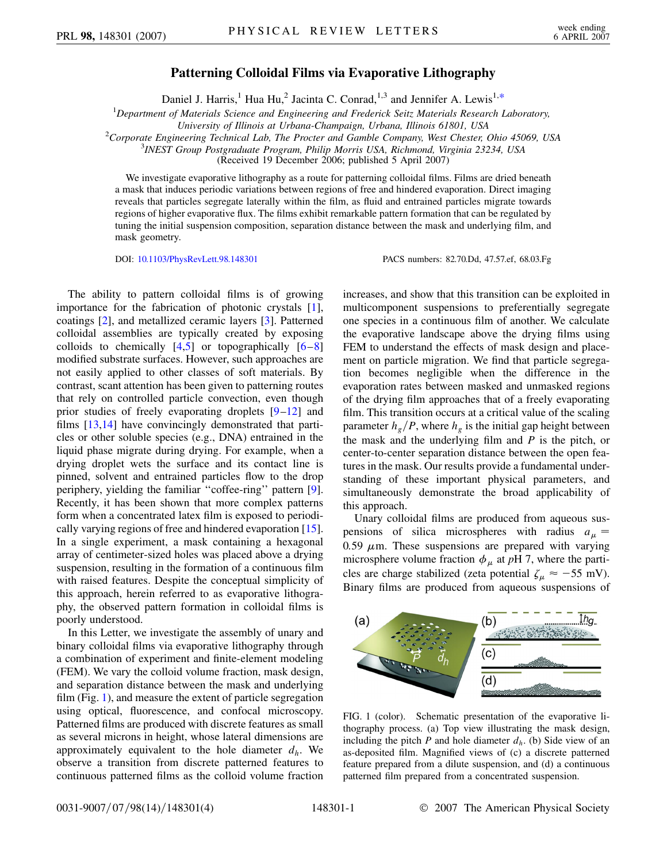## **Patterning Colloidal Films via Evaporative Lithography**

Daniel J. Harris,<sup>1</sup> Hua Hu,<sup>2</sup> Jacinta C. Conrad,<sup>1,3</sup> and Jennifer A. Lewis<sup>1[,\\*](#page-3-0)</sup>

<span id="page-0-1"></span>1 *Department of Materials Science and Engineering and Frederick Seitz Materials Research Laboratory,*

*University of Illinois at Urbana-Champaign, Urbana, Illinois 61801, USA* <sup>2</sup>

<sup>2</sup>Corporate Engineering Technical Lab, The Procter and Gamble Company, West Chester, Ohio 45069, USA

*INEST Group Postgraduate Program, Philip Morris USA, Richmond, Virginia 23234, USA*

(Received 19 December 2006; published 5 April 2007)

We investigate evaporative lithography as a route for patterning colloidal films. Films are dried beneath a mask that induces periodic variations between regions of free and hindered evaporation. Direct imaging reveals that particles segregate laterally within the film, as fluid and entrained particles migrate towards regions of higher evaporative flux. The films exhibit remarkable pattern formation that can be regulated by tuning the initial suspension composition, separation distance between the mask and underlying film, and mask geometry.

DOI: [10.1103/PhysRevLett.98.148301](http://dx.doi.org/10.1103/PhysRevLett.98.148301) PACS numbers: 82.70.Dd, 47.57.ef, 68.03.Fg

The ability to pattern colloidal films is of growing importance for the fabrication of photonic crystals [[1\]](#page-3-1), coatings [[2\]](#page-3-2), and metallized ceramic layers [[3](#page-3-3)]. Patterned colloidal assemblies are typically created by exposing colloids to chemically  $[4,5]$  $[4,5]$  $[4,5]$  or topographically  $[6-8]$  $[6-8]$  $[6-8]$ modified substrate surfaces. However, such approaches are not easily applied to other classes of soft materials. By contrast, scant attention has been given to patterning routes that rely on controlled particle convection, even though prior studies of freely evaporating droplets [\[9](#page-3-8)–[12](#page-3-9)] and films [\[13](#page-3-10)[,14\]](#page-3-11) have convincingly demonstrated that particles or other soluble species (e.g., DNA) entrained in the liquid phase migrate during drying. For example, when a drying droplet wets the surface and its contact line is pinned, solvent and entrained particles flow to the drop periphery, yielding the familiar ''coffee-ring'' pattern [[9\]](#page-3-8). Recently, it has been shown that more complex patterns form when a concentrated latex film is exposed to periodically varying regions of free and hindered evaporation [[15\]](#page-3-12). In a single experiment, a mask containing a hexagonal array of centimeter-sized holes was placed above a drying suspension, resulting in the formation of a continuous film with raised features. Despite the conceptual simplicity of this approach, herein referred to as evaporative lithography, the observed pattern formation in colloidal films is poorly understood.

In this Letter, we investigate the assembly of unary and binary colloidal films via evaporative lithography through a combination of experiment and finite-element modeling (FEM). We vary the colloid volume fraction, mask design, and separation distance between the mask and underlying film (Fig. [1\)](#page-0-0), and measure the extent of particle segregation using optical, fluorescence, and confocal microscopy. Patterned films are produced with discrete features as small as several microns in height, whose lateral dimensions are approximately equivalent to the hole diameter  $d_h$ . We observe a transition from discrete patterned features to continuous patterned films as the colloid volume fraction increases, and show that this transition can be exploited in multicomponent suspensions to preferentially segregate one species in a continuous film of another. We calculate the evaporative landscape above the drying films using FEM to understand the effects of mask design and placement on particle migration. We find that particle segregation becomes negligible when the difference in the evaporation rates between masked and unmasked regions of the drying film approaches that of a freely evaporating film. This transition occurs at a critical value of the scaling parameter  $h_{g}/P$ , where  $h_{g}$  is the initial gap height between the mask and the underlying film and *P* is the pitch, or center-to-center separation distance between the open features in the mask. Our results provide a fundamental understanding of these important physical parameters, and simultaneously demonstrate the broad applicability of this approach.

Unary colloidal films are produced from aqueous suspensions of silica microspheres with radius  $a_{\mu}$  =  $0.59 \mu$ m. These suspensions are prepared with varying microsphere volume fraction  $\phi_{\mu}$  at *pH* 7, where the particles are charge stabilized (zeta potential  $\zeta_{\mu} \approx -55$  mV). Binary films are produced from aqueous suspensions of

<span id="page-0-0"></span>

FIG. 1 (color). Schematic presentation of the evaporative lithography process. (a) Top view illustrating the mask design, including the pitch *P* and hole diameter  $d_h$ . (b) Side view of an as-deposited film. Magnified views of (c) a discrete patterned feature prepared from a dilute suspension, and (d) a continuous patterned film prepared from a concentrated suspension.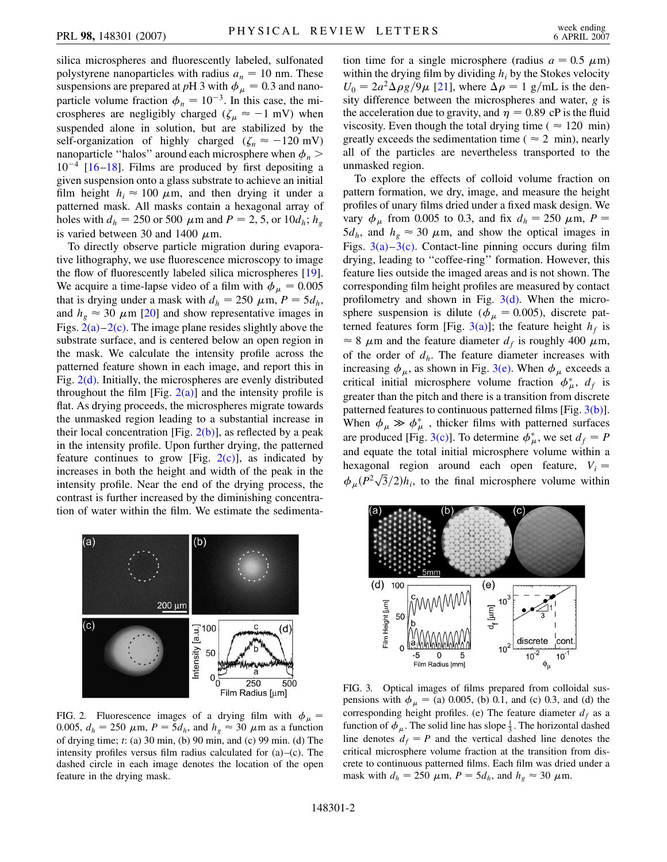silica microspheres and fluorescently labeled, sulfonated polystyrene nanoparticles with radius  $a_n = 10$  nm. These suspensions are prepared at  $pH$  3 with  $\phi_{\mu} = 0.3$  and nanoparticle volume fraction  $\phi_n = 10^{-3}$ . In this case, the microspheres are negligibly charged ( $\zeta_{\mu} \approx -1$  mV) when suspended alone in solution, but are stabilized by the self-organization of highly charged ( $\zeta_n \approx -120$  mV) nanoparticle "halos" around each microsphere when  $\phi_n$  >  $10^{-4}$  [[16](#page-3-13)–[18\]](#page-3-14). Films are produced by first depositing a given suspension onto a glass substrate to achieve an initial film height  $h_i \approx 100 \mu$ m, and then drying it under a patterned mask. All masks contain a hexagonal array of holes with  $d_h = 250$  or 500  $\mu$ m and  $P = 2, 5$ , or  $10d_h$ ;  $h_g$ is varied between 30 and 1400  $\mu$ m.

To directly observe particle migration during evaporative lithography, we use fluorescence microscopy to image the flow of fluorescently labeled silica microspheres [\[19\]](#page-3-15). We acquire a time-lapse video of a film with  $\phi_{\mu} = 0.005$ that is drying under a mask with  $d_h = 250 \mu m$ ,  $P = 5d_h$ , and  $h_g \approx 30 \mu \text{m}$  [\[20\]](#page-3-16) and show representative images in Figs.  $2(a)-2(c)$  $2(a)-2(c)$ . The image plane resides slightly above the substrate surface, and is centered below an open region in the mask. We calculate the intensity profile across the patterned feature shown in each image, and report this in Fig. [2\(d\).](#page-1-0) Initially, the microspheres are evenly distributed throughout the film [Fig.  $2(a)$ ] and the intensity profile is flat. As drying proceeds, the microspheres migrate towards the unmasked region leading to a substantial increase in their local concentration [Fig.  $2(b)$ ], as reflected by a peak in the intensity profile. Upon further drying, the patterned feature continues to grow [Fig.  $2(c)$ ], as indicated by increases in both the height and width of the peak in the intensity profile. Near the end of the drying process, the contrast is further increased by the diminishing concentration of water within the film. We estimate the sedimenta-



<span id="page-1-0"></span>FIG. 2. Fluorescence images of a drying film with  $\phi_{\mu} =$ 0.005,  $d_h = 250 \mu \text{m}$ ,  $P = 5d_h$ , and  $h_g \approx 30 \mu \text{m}$  as a function of drying time; *t*: (a) 30 min, (b) 90 min, and (c) 99 min. (d) The intensity profiles versus film radius calculated for (a)–(c). The dashed circle in each image denotes the location of the open feature in the drying mask.

tion time for a single microsphere (radius  $a = 0.5 \mu m$ ) within the drying film by dividing  $h_i$  by the Stokes velocity  $U_0 = 2a^2 \Delta \rho g/9\mu$  [[21](#page-3-17)], where  $\Delta \rho = 1$  g/mL is the density difference between the microspheres and water, *g* is the acceleration due to gravity, and  $\eta = 0.89$  cP is the fluid viscosity. Even though the total drying time ( $\approx 120$  min) greatly exceeds the sedimentation time ( $\approx$  2 min), nearly all of the particles are nevertheless transported to the unmasked region.

To explore the effects of colloid volume fraction on pattern formation, we dry, image, and measure the height profiles of unary films dried under a fixed mask design. We vary  $\phi_{\mu}$  from 0.005 to 0.3, and fix  $d_{h} = 250 \mu \text{m}$ ,  $P =$  $5d_h$ , and  $h_g \approx 30 \mu$ m, and show the optical images in Figs.  $3(a)-3(c)$  $3(a)-3(c)$ . Contact-line pinning occurs during film drying, leading to ''coffee-ring'' formation. However, this feature lies outside the imaged areas and is not shown. The corresponding film height profiles are measured by contact profilometry and shown in Fig.  $3(d)$ . When the microsphere suspension is dilute ( $\phi_{\mu} = 0.005$ ), discrete pat-terned features form [Fig. [3\(a\)\]](#page-1-1); the feature height  $h_f$  is  $\approx$  8  $\mu$ m and the feature diameter  $d_f$  is roughly 400  $\mu$ m, of the order of  $d_h$ . The feature diameter increases with increasing  $\phi_{\mu}$ , as shown in Fig. [3\(e\)](#page-1-1). When  $\phi_{\mu}$  exceeds a critical initial microsphere volume fraction  $\phi^*_{\mu}$ ,  $d_f$  is greater than the pitch and there is a transition from discrete patterned features to continuous patterned films [Fig. [3\(b\)\]](#page-1-1). When  $\phi_{\mu} \gg \phi_{\mu}^{*}$ , thicker films with patterned surfaces are produced [Fig. [3\(c\)](#page-1-1)]. To determine  $\phi^*_{\mu}$ , we set  $d_f = P$ and equate the total initial microsphere volume within a hexagonal region around each open feature,  $V_i =$  $\phi_{\mu}(P^2\sqrt{3}/2)h_i$ , to the final microsphere volume within



<span id="page-1-1"></span>FIG. 3. Optical images of films prepared from colloidal suspensions with  $\phi_{\mu} = (a) 0.005$ , (b) 0.1, and (c) 0.3, and (d) the corresponding height profiles. (e) The feature diameter  $d_f$  as a function of  $\phi_{\mu}$ . The solid line has slope  $\frac{1}{3}$ . The horizontal dashed line denotes  $d_f = P$  and the vertical dashed line denotes the critical microsphere volume fraction at the transition from discrete to continuous patterned films. Each film was dried under a mask with  $d_h = 250 \mu \text{m}$ ,  $P = 5d_h$ , and  $h_g \approx 30 \mu \text{m}$ .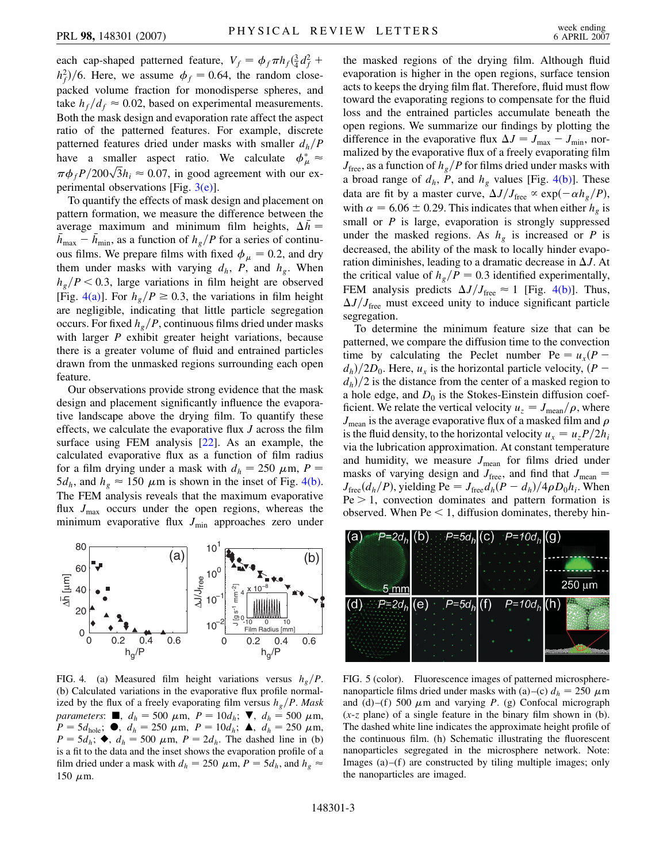each cap-shaped patterned feature,  $V_f = \phi_f \pi h_f(\frac{3}{4}d_f^2 +$  $h_f^2$ /6. Here, we assume  $\phi_f = 0.64$ , the random closepacked volume fraction for monodisperse spheres, and take  $h_f/d_f \approx 0.02$ , based on experimental measurements. Both the mask design and evaporation rate affect the aspect ratio of the patterned features. For example, discrete patterned features dried under masks with smaller  $d_h/P$ have a smaller aspect ratio. We calculate  $\phi^*_{\mu} \approx$  $\pi \phi_f P/200\sqrt{3}h_i \approx 0.07$ , in good agreement with our experimental observations [Fig. [3\(e\)\]](#page-1-1).

To quantify the effects of mask design and placement on pattern formation, we measure the difference between the average maximum and minimum film heights,  $\Delta \bar{h}$  =  $\bar{h}_{\text{max}} - \bar{h}_{\text{min}}$ , as a function of  $h_g/P$  for a series of continuous films. We prepare films with fixed  $\phi_{\mu} = 0.2$ , and dry them under masks with varying  $d_h$ ,  $P$ , and  $h_g$ . When  $h_{\varrho}/P$  < 0.3, large variations in film height are observed [Fig. [4\(a\)\]](#page-2-0). For  $h_{\varrho}/P \ge 0.3$ , the variations in film height are negligible, indicating that little particle segregation occurs. For fixed  $h_{\varrho}/P$ , continuous films dried under masks with larger *P* exhibit greater height variations, because there is a greater volume of fluid and entrained particles drawn from the unmasked regions surrounding each open feature.

Our observations provide strong evidence that the mask design and placement significantly influence the evaporative landscape above the drying film. To quantify these effects, we calculate the evaporative flux *J* across the film surface using FEM analysis [[22](#page-3-18)]. As an example, the calculated evaporative flux as a function of film radius for a film drying under a mask with  $d_h = 250 \mu \text{m}$ ,  $P =$  $5d_h$ , and  $h_g \approx 150 \mu \text{m}$  is shown in the inset of Fig. [4\(b\)](#page-2-0). The FEM analysis reveals that the maximum evaporative flux  $J_{\text{max}}$  occurs under the open regions, whereas the minimum evaporative flux  $J_{\text{min}}$  approaches zero under



<span id="page-2-0"></span>FIG. 4. (a) Measured film height variations versus  $h_{\varphi}/P$ . (b) Calculated variations in the evaporative flux profile normalized by the flux of a freely evaporating film versus  $h<sub>g</sub>/P$ . *Mask*  $\mu_{\text{parameters}}$ : **I**,  $d_h = 500 \mu \text{m}$ ,  $P = 10d_h$ ; **V**,  $d_h = 500 \mu \text{m}$ ,  $P = 5d_{\text{hole}}$ ;  $\bullet$ ,  $d_h = 250 \mu \text{m}$ ,  $P = 10d_h$ ;  $\bullet$ ,  $d_h = 250 \mu \text{m}$ ,  $P = 5d_h$ ;  $\blacklozenge$ ,  $d_h = 500 \mu \text{m}$ ,  $P = 2d_h$ . The dashed line in (b) is a fit to the data and the inset shows the evaporation profile of a film dried under a mask with  $d_h = 250 \mu \text{m}$ ,  $P = 5d_h$ , and  $h_g \approx$ 150  $\mu$ m.

the masked regions of the drying film. Although fluid evaporation is higher in the open regions, surface tension acts to keeps the drying film flat. Therefore, fluid must flow toward the evaporating regions to compensate for the fluid loss and the entrained particles accumulate beneath the open regions. We summarize our findings by plotting the difference in the evaporative flux  $\Delta J = J_{\text{max}} - J_{\text{min}}$ , normalized by the evaporative flux of a freely evaporating film  $J_{\text{free}}$ , as a function of  $h_g/P$  for films dried under masks with a broad range of  $d_h$ , *P*, and  $h_g$  values [Fig. [4\(b\)](#page-2-0)]. These data are fit by a master curve,  $\Delta J/J_{\text{free}} \propto \exp(-\alpha h_g/P)$ , with  $\alpha = 6.06 \pm 0.29$ . This indicates that when either  $h<sub>g</sub>$  is small or *P* is large, evaporation is strongly suppressed under the masked regions. As  $h<sub>g</sub>$  is increased or *P* is decreased, the ability of the mask to locally hinder evaporation diminishes, leading to a dramatic decrease in  $\Delta J$ . At the critical value of  $h_g/P = 0.3$  identified experimentally, FEM analysis predicts  $\Delta J/J_{\text{free}} \approx 1$  [Fig. [4\(b\)\]](#page-2-0). Thus,  $\Delta J/J_{\text{free}}$  must exceed unity to induce significant particle segregation.

To determine the minimum feature size that can be patterned, we compare the diffusion time to the convection time by calculating the Peclet number  $Pe = u_x(P$  $d_h$ / $2D_0$ . Here,  $u_x$  is the horizontal particle velocity,  $(P$  $d_h$ /2 is the distance from the center of a masked region to a hole edge, and  $D_0$  is the Stokes-Einstein diffusion coefficient. We relate the vertical velocity  $u_z = J_{\text{mean}}/\rho$ , where  $J_{\text{mean}}$  is the average evaporative flux of a masked film and  $\rho$ is the fluid density, to the horizontal velocity  $u_x = u_z P/2h_i$ via the lubrication approximation. At constant temperature and humidity, we measure  $J_{\text{mean}}$  for films dried under masks of varying design and  $J_{\text{free}}$ , and find that  $J_{\text{mean}} =$  $J_{\text{free}}(d_h/P)$ , yielding Pe =  $J_{\text{free}}d_h(P - d_h)/4\rho D_0h_i$ . When Pe *>* 1, convection dominates and pattern formation is observed. When Pe *<* 1, diffusion dominates, thereby hin-



<span id="page-2-1"></span>FIG. 5 (color). Fluorescence images of patterned microspherenanoparticle films dried under masks with (a)–(c)  $d_h = 250 \mu m$ and (d)–(f) 500  $\mu$ m and varying *P*. (g) Confocal micrograph (*x*-*z* plane) of a single feature in the binary film shown in (b). The dashed white line indicates the approximate height profile of the continuous film. (h) Schematic illustrating the fluorescent nanoparticles segregated in the microsphere network. Note: Images (a)–(f) are constructed by tiling multiple images; only the nanoparticles are imaged.